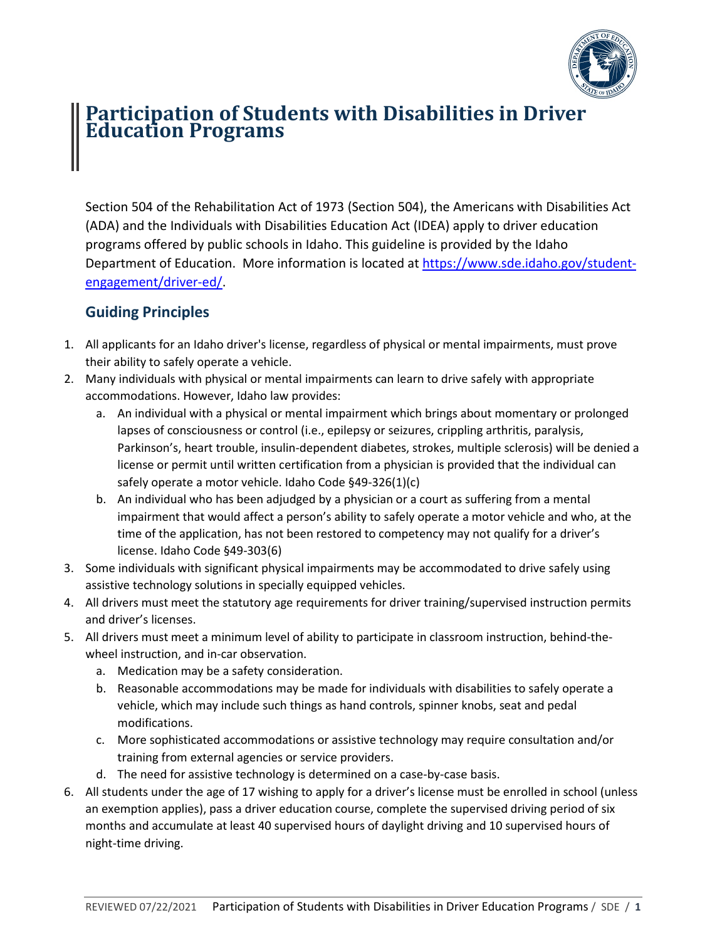

## **Participation of Students with Disabilities in Driver Education Programs**

Section 504 of the Rehabilitation Act of 1973 (Section 504), the Americans with Disabilities Act (ADA) and the Individuals with Disabilities Education Act (IDEA) apply to driver education programs offered by public schools in Idaho. This guideline is provided by the Idaho Department of Education. More information is located at [https://www.sde.idaho.gov/student](https://www.sde.idaho.gov/student-engagement/driver-ed/)[engagement/driver-ed/.](https://www.sde.idaho.gov/student-engagement/driver-ed/)

## **Guiding Principles**

- 1. All applicants for an Idaho driver's license, regardless of physical or mental impairments, must prove their ability to safely operate a vehicle.
- 2. Many individuals with physical or mental impairments can learn to drive safely with appropriate accommodations. However, Idaho law provides:
	- a. An individual with a physical or mental impairment which brings about momentary or prolonged lapses of consciousness or control (i.e., epilepsy or seizures, crippling arthritis, paralysis, Parkinson's, heart trouble, insulin-dependent diabetes, strokes, multiple sclerosis) will be denied a license or permit until written certification from a physician is provided that the individual can safely operate a motor vehicle. Idaho Code §49-326(1)(c)
	- b. An individual who has been adjudged by a physician or a court as suffering from a mental impairment that would affect a person's ability to safely operate a motor vehicle and who, at the time of the application, has not been restored to competency may not qualify for a driver's license. Idaho Code §49-303(6)
- 3. Some individuals with significant physical impairments may be accommodated to drive safely using assistive technology solutions in specially equipped vehicles.
- 4. All drivers must meet the statutory age requirements for driver training/supervised instruction permits and driver's licenses.
- 5. All drivers must meet a minimum level of ability to participate in classroom instruction, behind-thewheel instruction, and in-car observation.
	- a. Medication may be a safety consideration.
	- b. Reasonable accommodations may be made for individuals with disabilities to safely operate a vehicle, which may include such things as hand controls, spinner knobs, seat and pedal modifications.
	- c. More sophisticated accommodations or assistive technology may require consultation and/or training from external agencies or service providers.
	- d. The need for assistive technology is determined on a case-by-case basis.
- 6. All students under the age of 17 wishing to apply for a driver's license must be enrolled in school (unless an exemption applies), pass a driver education course, complete the supervised driving period of six months and accumulate at least 40 supervised hours of daylight driving and 10 supervised hours of night-time driving.